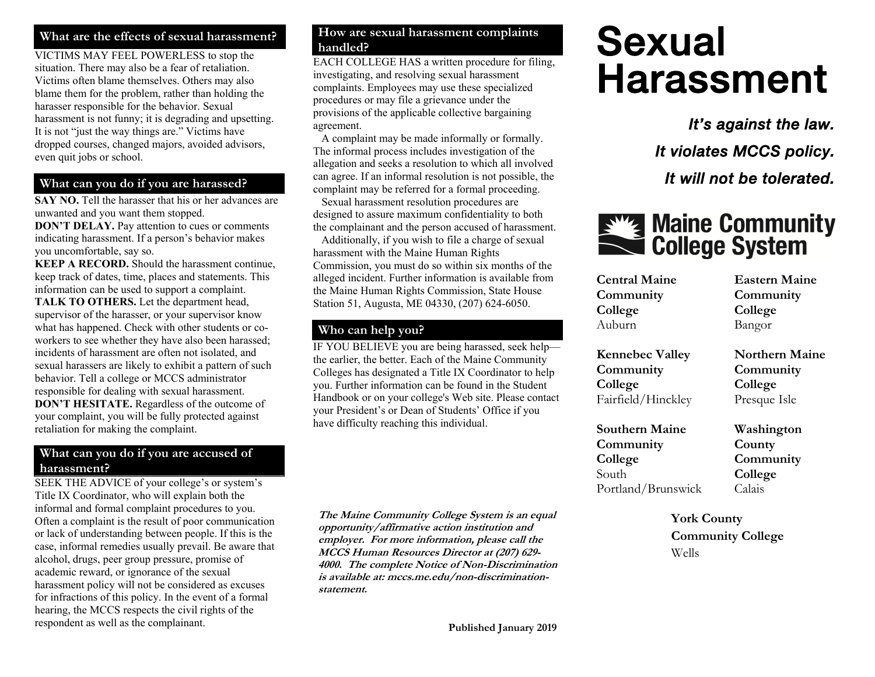#### **What are the effects of sexual harassment?**

VICTIMS MAY FEEL POWERLESS to stop the situation. There may also be a fear of retaliation. Victims often blame themselves. Others may also blame them for the problem, rather than holding the harasser responsible for the behavior. Sexual harassment is not funny; it is degrading and upsetting. It is not "just the way things are." Victims have dropped courses, changed majors, avoided advisors, even quit jobs or school.

### **What can you do if you are harassed?**

**SAY NO.** Tell the harasser that his or her advances are unwanted and you want them stopped.

**DON'T DELAY.** Pay attention to cues or comments indicating harassment. If a person's behavior makes you uncomfortable, say so.

**KEEP A RECORD.** Should the harassment continue, keep track of dates, time, places and statements. This information can be used to support a complaint.

**TALK TO OTHERS.** Let the department head, supervisor of the harasser, or your supervisor know what has happened. Check with other students or coworkers to see whether they have also been harassed; incidents of harassment are often not isolated, and sexual harassers are likely to exhibit a pattern of such behavior. Tell a college or MCCS administrator responsible for dealing with sexual harassment. **DON'T HESITATE.** Regardless of the outcome of your complaint, you will be fully protected against retaliation for making the complaint.

#### **What can you do if you are accused of harassment?**

SEEK THE ADVICE of your college's or system's Title IX Coordinator, who will explain both the informal and formal complaint procedures to you. Often a complaint is the result of poor communication or lack of understanding between people. If this is the case, informal remedies usually prevail. Be aware that alcohol, drugs, peer group pressure, promise of academic reward, or ignorance of the sexual harassment policy will not be considered as excuses for infractions of this policy. In the event of a formal hearing, the MCCS respects the civil rights of the respondent as well as the complainant.

#### **How are sexual harassment complaints handled?**

EACH COLLEGE HAS a written procedure for filing, investigating, and resolving sexual harassment complaints. Employees may use these specialized procedures or may file a grievance under the provisions of the applicable collective bargaining agreement.

 A complaint may be made informally or formally. The informal process includes investigation of the allegation and seeks a resolution to which all involved can agree. If an informal resolution is not possible, the complaint may be referred for a formal proceeding.

 Sexual harassment resolution procedures are designed to assure maximum confidentiality to both the complainant and the person accused of harassment.

 Additionally, if you wish to file a charge of sexual harassment with the Maine Human Rights Commission, you must do so within six months of the alleged incident. Further information is available from the Maine Human Rights Commission, State House Station 51, Augusta, ME 04330, (207) 624-6050.

#### **Who can help you?**

IF YOU BELIEVE you are being harassed, seek help the earlier, the better. Each of the Maine Community Colleges has designated a Title IX Coordinator to help you. Further information can be found in the Student Handbook or on your college's Web site. Please contact your President's or Dean of Students' Office if you have difficulty reaching this individual.

**The Maine Community College System is an equal opportunity/affirmative action institution and employer. For more information, please call the MCCS Human Resources Director at (207) 629- 4000. The complete Notice of Non-Discrimination is available at: mccs.me.edu/non-discriminationstatement.** 

# Sexual Harassment

It's against the law. It violates MCCS policy. It will not be tolerated.

# **Ething Maine Community**<br> **College System**

| <b>Central Maine</b>   | <b>Eastern Maine</b>  |
|------------------------|-----------------------|
| Community              | Community             |
| College                | College               |
| Auburn                 | Bangor                |
| <b>Kennebec Valley</b> | <b>Northern Maine</b> |
| Community              | Community             |
| College                | College               |
| Fairfield/Hinckley     | Presque Isle          |
| <b>Southern Maine</b>  | Washington            |
| Community              | County                |
| College                | Community             |
| South                  | College               |
| Portland/Brunswick     | Calais                |
| <b>York County</b>     |                       |

**y Community College** Wells